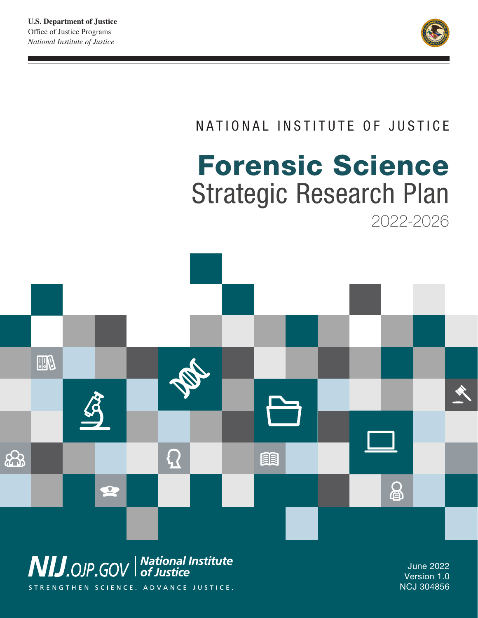

# NATIONAL INSTITUTE OF JUSTICE

# Forensic Science Strategic Research Plan 2022-2026



STRENGTHEN SCIENCE. ADVANCE JUSTICE.

Version 1.0 NCJ 304856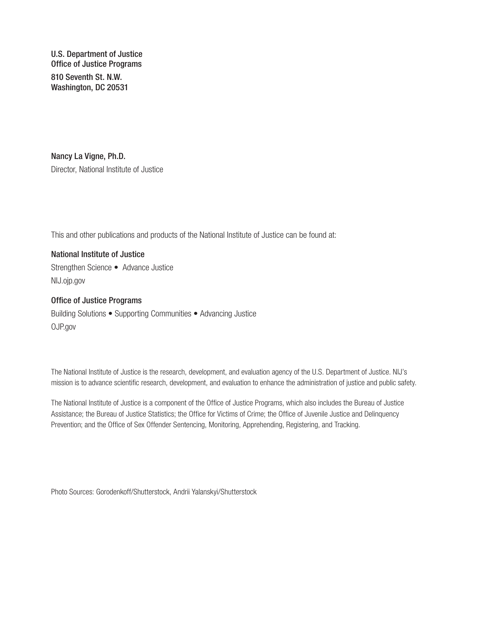U.S. Department of Justice Office of Justice Programs 810 Seventh St. N.W. Washington, DC 20531

Nancy La Vigne, Ph.D. Director, National Institute of Justice

This and other publications and products of the National Institute of Justice can be found at:

National Institute of Justice Strengthen Science • Advance Justice [NIJ.ojp.gov](http://NIJ.ojp.gov)

Office of Justice Programs Building Solutions • Supporting Communities • Advancing Justice [OJP.gov](http://OJP.gov)

The National Institute of Justice is the research, development, and evaluation agency of the U.S. Department of Justice. NIJ's mission is to advance scientific research, development, and evaluation to enhance the administration of justice and public safety.

The National Institute of Justice is a component of the Office of Justice Programs, which also includes the Bureau of Justice Assistance; the Bureau of Justice Statistics; the Office for Victims of Crime; the Office of Juvenile Justice and Delinquency Prevention; and the Office of Sex Offender Sentencing, Monitoring, Apprehending, Registering, and Tracking.

Photo Sources: Gorodenkoff/Shutterstock, Andrii Yalanskyi/Shutterstock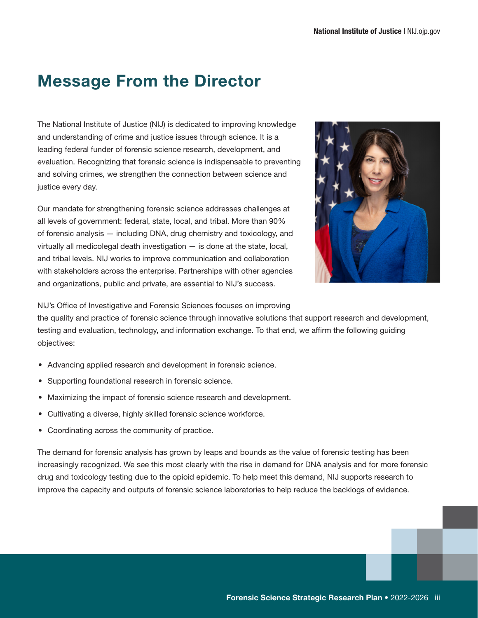# Message From the Director

The National Institute of Justice (NIJ) is dedicated to improving knowledge and understanding of crime and justice issues through science. It is a leading federal funder of forensic science research, development, and evaluation. Recognizing that forensic science is indispensable to preventing and solving crimes, we strengthen the connection between science and justice every day.

Our mandate for strengthening forensic science addresses challenges at all levels of government: federal, state, local, and tribal. More than 90% of forensic analysis — including DNA, drug chemistry and toxicology, and virtually all medicolegal death investigation — is done at the state, local, and tribal levels. NIJ works to improve communication and collaboration with stakeholders across the enterprise. Partnerships with other agencies and organizations, public and private, are essential to NIJ's success.



NIJ's Office of Investigative and Forensic Sciences focuses on improving

the quality and practice of forensic science through innovative solutions that support research and development, testing and evaluation, technology, and information exchange. To that end, we affirm the following guiding objectives:

- Advancing applied research and development in forensic science.
- Supporting foundational research in forensic science.
- Maximizing the impact of forensic science research and development.
- Cultivating a diverse, highly skilled forensic science workforce.
- Coordinating across the community of practice.

The demand for forensic analysis has grown by leaps and bounds as the value of forensic testing has been increasingly recognized. We see this most clearly with the rise in demand for DNA analysis and for more forensic drug and toxicology testing due to the opioid epidemic. To help meet this demand, NIJ supports research to improve the capacity and outputs of forensic science laboratories to help reduce the backlogs of evidence.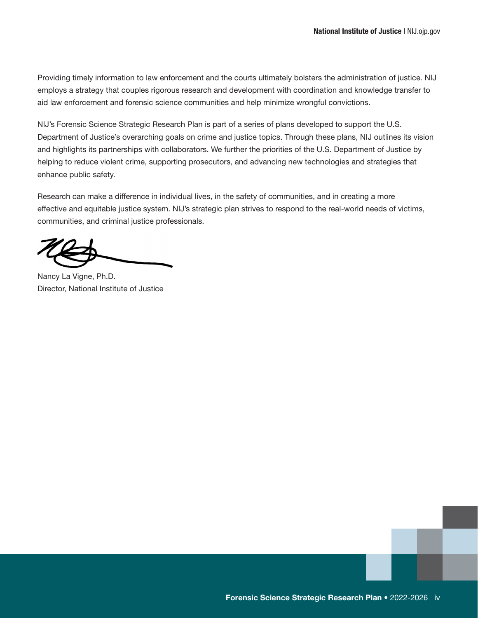Providing timely information to law enforcement and the courts ultimately bolsters the administration of justice. NIJ employs a strategy that couples rigorous research and development with coordination and knowledge transfer to aid law enforcement and forensic science communities and help minimize wrongful convictions.

NIJ's Forensic Science Strategic Research Plan is part of a series of plans developed to support the U.S. Department of Justice's overarching goals on crime and justice topics. Through these plans, NIJ outlines its vision and highlights its partnerships with collaborators. We further the priorities of the U.S. Department of Justice by helping to reduce violent crime, supporting prosecutors, and advancing new technologies and strategies that enhance public safety.

Research can make a difference in individual lives, in the safety of communities, and in creating a more effective and equitable justice system. NIJ's strategic plan strives to respond to the real-world needs of victims, communities, and criminal justice professionals.

Nancy La Vigne, Ph.D. Director, National Institute of Justice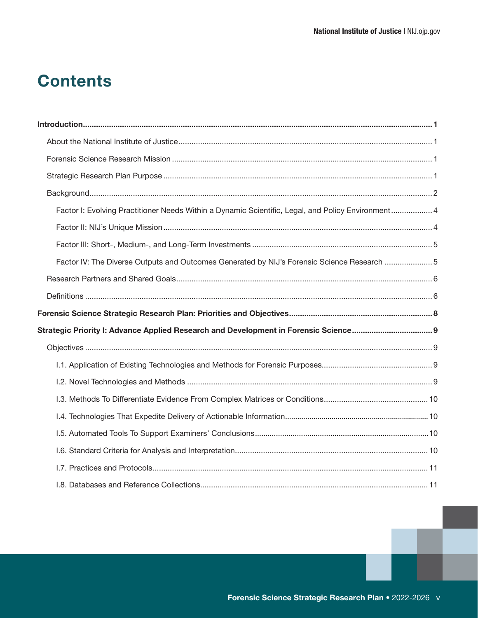# **Contents**

| Factor I: Evolving Practitioner Needs Within a Dynamic Scientific, Legal, and Policy Environment 4 |  |
|----------------------------------------------------------------------------------------------------|--|
|                                                                                                    |  |
|                                                                                                    |  |
| Factor IV: The Diverse Outputs and Outcomes Generated by NIJ's Forensic Science Research 5         |  |
|                                                                                                    |  |
|                                                                                                    |  |
|                                                                                                    |  |
|                                                                                                    |  |
|                                                                                                    |  |
|                                                                                                    |  |
|                                                                                                    |  |
|                                                                                                    |  |
|                                                                                                    |  |
|                                                                                                    |  |
|                                                                                                    |  |
|                                                                                                    |  |
|                                                                                                    |  |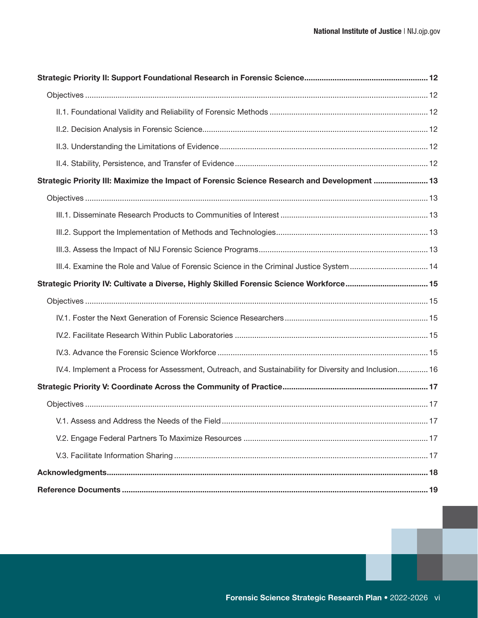| 13. Strategic Priority III: Maximize the Impact of Forensic Science Research and Development  13      |  |
|-------------------------------------------------------------------------------------------------------|--|
|                                                                                                       |  |
|                                                                                                       |  |
|                                                                                                       |  |
|                                                                                                       |  |
| III.4. Examine the Role and Value of Forensic Science in the Criminal Justice System 14               |  |
| Strategic Priority IV: Cultivate a Diverse, Highly Skilled Forensic Science Workforce 15              |  |
|                                                                                                       |  |
|                                                                                                       |  |
|                                                                                                       |  |
|                                                                                                       |  |
| IV.4. Implement a Process for Assessment, Outreach, and Sustainability for Diversity and Inclusion 16 |  |
|                                                                                                       |  |
|                                                                                                       |  |
| V.1. Assess and Address the Needs of the Field ………………………………………………………………………………………… 17                  |  |
|                                                                                                       |  |
|                                                                                                       |  |
|                                                                                                       |  |
|                                                                                                       |  |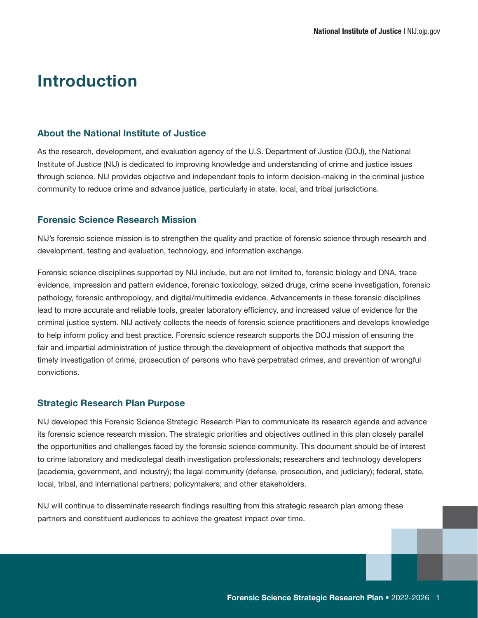## <span id="page-6-0"></span>Introduction

#### About the National Institute of Justice

As the research, development, and evaluation agency of the U.S. Department of Justice (DOJ), the National Institute of Justice (NIJ) is dedicated to improving knowledge and understanding of crime and justice issues through science. NIJ provides objective and independent tools to inform decision-making in the criminal justice community to reduce crime and advance justice, particularly in state, local, and tribal jurisdictions.

### Forensic Science Research Mission

NIJ's forensic science mission is to strengthen the quality and practice of forensic science through research and development, testing and evaluation, technology, and information exchange.

Forensic science disciplines supported by NIJ include, but are not limited to, forensic biology and DNA, trace evidence, impression and pattern evidence, forensic toxicology, seized drugs, crime scene investigation, forensic pathology, forensic anthropology, and digital/multimedia evidence. Advancements in these forensic disciplines lead to more accurate and reliable tools, greater laboratory efficiency, and increased value of evidence for the criminal justice system. NIJ actively collects the needs of forensic science practitioners and develops knowledge to help inform policy and best practice. Forensic science research supports the DOJ mission of ensuring the fair and impartial administration of justice through the development of objective methods that support the timely investigation of crime, prosecution of persons who have perpetrated crimes, and prevention of wrongful convictions.

#### Strategic Research Plan Purpose

NIJ developed this Forensic Science Strategic Research Plan to communicate its research agenda and advance its forensic science research mission. The strategic priorities and objectives outlined in this plan closely parallel the opportunities and challenges faced by the forensic science community. This document should be of interest to crime laboratory and medicolegal death investigation professionals; researchers and technology developers (academia, government, and industry); the legal community (defense, prosecution, and judiciary); federal, state, local, tribal, and international partners; policymakers; and other stakeholders.

NIJ will continue to disseminate research findings resulting from this strategic research plan among these partners and constituent audiences to achieve the greatest impact over time.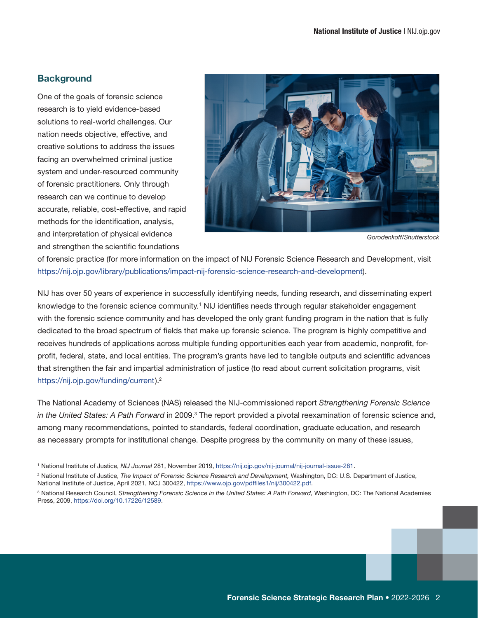### <span id="page-7-0"></span>**Background**

One of the goals of forensic science research is to yield evidence-based solutions to real-world challenges. Our nation needs objective, effective, and creative solutions to address the issues facing an overwhelmed criminal justice system and under-resourced community of forensic practitioners. Only through research can we continue to develop accurate, reliable, cost-effective, and rapid methods for the identification, analysis, and interpretation of physical evidence and strengthen the scientific foundations



*Gorodenkoff/Shutterstock*

of forensic practice (for more information on the impact of NIJ Forensic Science Research and Development, visit [https://nij.ojp.gov/library/publications/impact-nij-forensic-science-research-and-development\)](https://nij.ojp.gov/library/publications/impact-nij-forensic-science-research-and-development).

NIJ has over 50 years of experience in successfully identifying needs, funding research, and disseminating expert knowledge to the forensic science community.<sup>1</sup> NIJ identifies needs through regular stakeholder engagement with the forensic science community and has developed the only grant funding program in the nation that is fully dedicated to the broad spectrum of fields that make up forensic science. The program is highly competitive and receives hundreds of applications across multiple funding opportunities each year from academic, nonprofit, forprofit, federal, state, and local entities. The program's grants have led to tangible outputs and scientific advances that strengthen the fair and impartial administration of justice (to read about current solicitation programs, visit <https://nij.ojp.gov/funding/current>).2

The National Academy of Sciences (NAS) released the NIJ-commissioned report *Strengthening Forensic Science*  in the United States: A Path Forward in 2009.<sup>3</sup> The report provided a pivotal reexamination of forensic science and, among many recommendations, pointed to standards, federal coordination, graduate education, and research as necessary prompts for institutional change. Despite progress by the community on many of these issues,

<sup>1</sup> National Institute of Justice, *NIJ Journal* 281, November 2019, <https://nij.ojp.gov/nij-journal/nij-journal-issue-281>.

<sup>2</sup> National Institute of Justice, *The Impact of Forensic Science Research and Development,* Washington, DC: U.S. Department of Justice, National Institute of Justice, April 2021, NCJ 300422, [https://www.ojp.gov/pdffiles1/nij/300422.pdf.](https://www.ojp.gov/pdffiles1/nij/300422.pdf)

<sup>&</sup>lt;sup>3</sup> National Research Council, Strengthening Forensic Science in the United States: A Path Forward, Washington, DC: The National Academies Press, 2009, <https://doi.org/10.17226/12589>.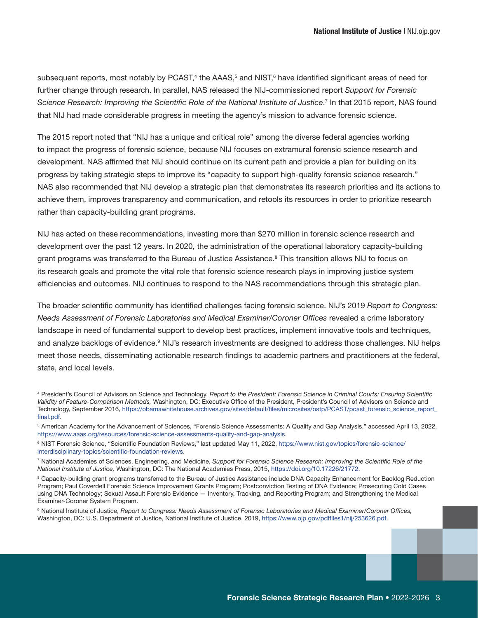subsequent reports, most notably by PCAST,<sup>4</sup> the AAAS,<sup>5</sup> and NIST,<sup>6</sup> have identified significant areas of need for further change through research. In parallel, NAS released the NIJ-commissioned report *Support for Forensic*  Science Research: Improving the Scientific Role of the National Institute of Justice.<sup>7</sup> In that 2015 report, NAS found that NIJ had made considerable progress in meeting the agency's mission to advance forensic science.

The 2015 report noted that "NIJ has a unique and critical role" among the diverse federal agencies working to impact the progress of forensic science, because NIJ focuses on extramural forensic science research and development. NAS affirmed that NIJ should continue on its current path and provide a plan for building on its progress by taking strategic steps to improve its "capacity to support high-quality forensic science research." NAS also recommended that NIJ develop a strategic plan that demonstrates its research priorities and its actions to achieve them, improves transparency and communication, and retools its resources in order to prioritize research rather than capacity-building grant programs.

NIJ has acted on these recommendations, investing more than \$270 million in forensic science research and development over the past 12 years. In 2020, the administration of the operational laboratory capacity-building grant programs was transferred to the Bureau of Justice Assistance.<sup>8</sup> This transition allows NIJ to focus on its research goals and promote the vital role that forensic science research plays in improving justice system efficiencies and outcomes. NIJ continues to respond to the NAS recommendations through this strategic plan.

The broader scientific community has identified challenges facing forensic science. NIJ's 2019 *Report to Congress: Needs Assessment of Forensic Laboratories and Medical Examiner/Coroner Offices* revealed a crime laboratory landscape in need of fundamental support to develop best practices, implement innovative tools and techniques, and analyze backlogs of evidence.<sup>9</sup> NIJ's research investments are designed to address those challenges. NIJ helps meet those needs, disseminating actionable research findings to academic partners and practitioners at the federal, state, and local levels.

9 National Institute of Justice, *Report to Congress: Needs Assessment of Forensic Laboratories and Medical Examiner/Coroner Offices,* Washington, DC: U.S. Department of Justice, National Institute of Justice, 2019, <https://www.ojp.gov/pdffiles1/nij/253626.pdf>.

<sup>4</sup> President's Council of Advisors on Science and Technology, *Report to the President: Forensic Science in Criminal Courts: Ensuring Scientific Validity of Feature-Comparison Methods,* Washington, DC: Executive Office of the President, President's Council of Advisors on Science and Technology, September 2016, [https://obamawhitehouse.archives.gov/sites/default/files/microsites/ostp/PCAST/pcast\\_forensic\\_science\\_report\\_](https://obamawhitehouse.archives.gov/sites/default/files/microsites/ostp/PCAST/pcast_forensic_science_report_final.pdf) [final.pdf.](https://obamawhitehouse.archives.gov/sites/default/files/microsites/ostp/PCAST/pcast_forensic_science_report_final.pdf)

<sup>&</sup>lt;sup>5</sup> American Academy for the Advancement of Sciences, "Forensic Science Assessments: A Quality and Gap Analysis," accessed April 13, 2022, <https://www.aaas.org/resources/forensic-science-assessments-quality-and-gap-analysis>.

<sup>6</sup> NIST Forensic Science, "Scientific Foundation Reviews," last updated May 11, 2022, [https://www.nist.gov/topics/forensic-science/](https://www.nist.gov/topics/forensic-science/interdisciplinary-topics/scientific-foundation-reviews) [interdisciplinary-topics/scientific-foundation-reviews.](https://www.nist.gov/topics/forensic-science/interdisciplinary-topics/scientific-foundation-reviews)

<sup>7</sup> National Academies of Sciences, Engineering, and Medicine, *Support for Forensic Science Research: Improving the Scientific Role of the National Institute of Justice,* Washington, DC: The National Academies Press, 2015,<https://doi.org/10.17226/21772>.

<sup>&</sup>lt;sup>8</sup> Capacity-building grant programs transferred to the Bureau of Justice Assistance include DNA Capacity Enhancement for Backlog Reduction Program; Paul Coverdell Forensic Science Improvement Grants Program; Postconviction Testing of DNA Evidence; Prosecuting Cold Cases using DNA Technology; Sexual Assault Forensic Evidence — Inventory, Tracking, and Reporting Program; and Strengthening the Medical Examiner-Coroner System Program.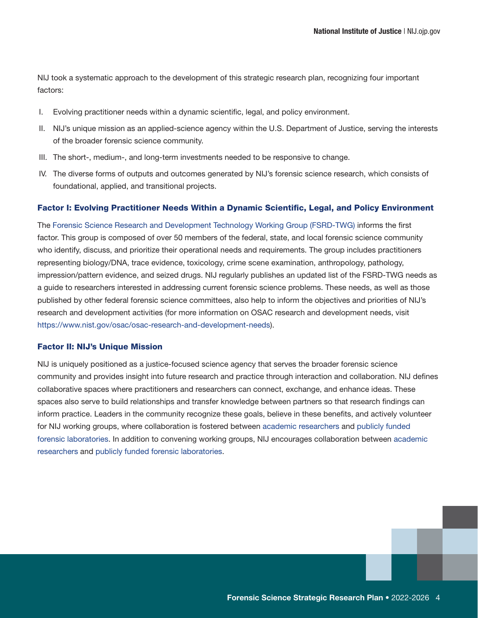<span id="page-9-0"></span>NIJ took a systematic approach to the development of this strategic research plan, recognizing four important factors:

- I. Evolving practitioner needs within a dynamic scientific, legal, and policy environment.
- II. NIJ's unique mission as an applied-science agency within the U.S. Department of Justice, serving the interests of the broader forensic science community.
- III. The short-, medium-, and long-term investments needed to be responsive to change.
- IV. The diverse forms of outputs and outcomes generated by NIJ's forensic science research, which consists of foundational, applied, and transitional projects.

#### Factor I: Evolving Practitioner Needs Within a Dynamic Scientific, Legal, and Policy Environment

The [Forensic Science Research and Development Technology Working Group \(FSRD-TWG\)](https://nij.ojp.gov/topics/articles/forensic-science-research-and-development-technology-working-group-operational) informs the first factor. This group is composed of over 50 members of the federal, state, and local forensic science community who identify, discuss, and prioritize their operational needs and requirements. The group includes practitioners representing biology/DNA, trace evidence, toxicology, crime scene examination, anthropology, pathology, impression/pattern evidence, and seized drugs. NIJ regularly publishes an updated list of the FSRD-TWG needs as a guide to researchers interested in addressing current forensic science problems. These needs, as well as those published by other federal forensic science committees, also help to inform the objectives and priorities of NIJ's research and development activities (for more information on OSAC research and development needs, visit <https://www.nist.gov/osac/osac-research-and-development-needs>).

#### Factor II: NIJ's Unique Mission

NIJ is uniquely positioned as a justice-focused science agency that serves the broader forensic science community and provides insight into future research and practice through interaction and collaboration. NIJ defines collaborative spaces where practitioners and researchers can connect, exchange, and enhance ideas. These spaces also serve to build relationships and transfer knowledge between partners so that research findings can inform practice. Leaders in the community recognize these goals, believe in these benefits, and actively volunteer for NIJ working groups, where collaboration is fostered between [academic researchers](https://forensiccoe.org/grantee-needs/) and [publicly funded](https://nij.ojp.gov/topics/forensics/connecting-researchers-forensic-laboratories)  [forensic laboratories.](https://nij.ojp.gov/topics/forensics/connecting-researchers-forensic-laboratories) In addition to convening working groups, NIJ encourages collaboration between [academic](https://forensiccoe.org/grantee-needs/)  [researchers](https://forensiccoe.org/grantee-needs/) and [publicly funded forensic laboratories.](https://nij.ojp.gov/topics/forensics/connecting-researchers-forensic-laboratories)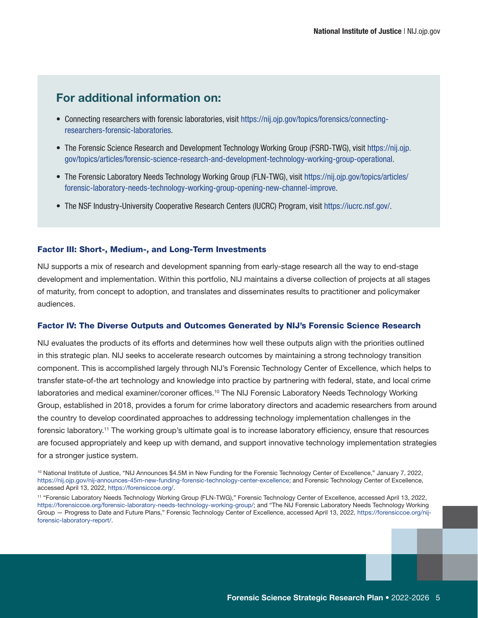### <span id="page-10-0"></span>For additional information on:

- Connecting researchers with forensic laboratories, visit [https://nij.ojp.gov/topics/forensics/connecting](https://nij.ojp.gov/topics/forensics/connecting-researchers-forensic-laboratories)[researchers-forensic-laboratories](https://nij.ojp.gov/topics/forensics/connecting-researchers-forensic-laboratories).
- The Forensic Science Research and Development Technology Working Group (FSRD-TWG), visit [https://nij.ojp.](https://nij.ojp.gov/topics/articles/forensic-science-research-and-development-technology-working-group-operational) [gov/topics/articles/forensic-science-research-and-development-technology-working-group-operational.](https://nij.ojp.gov/topics/articles/forensic-science-research-and-development-technology-working-group-operational)
- The Forensic Laboratory Needs Technology Working Group (FLN-TWG), visit [https://nij.ojp.gov/topics/articles/](https://nij.ojp.gov/topics/articles/forensic-laboratory-needs-technology-working-group-opening-new-channel-improve) [forensic-laboratory-needs-technology-working-group-opening-new-channel-improve](https://nij.ojp.gov/topics/articles/forensic-laboratory-needs-technology-working-group-opening-new-channel-improve).
- The NSF Industry-University Cooperative Research Centers (IUCRC) Program, visit [https://iucrc.nsf.gov/.](https://iucrc.nsf.gov/)

#### Factor III: Short-, Medium-, and Long-Term Investments

NIJ supports a mix of research and development spanning from early-stage research all the way to end-stage development and implementation. Within this portfolio, NIJ maintains a diverse collection of projects at all stages of maturity, from concept to adoption, and translates and disseminates results to practitioner and policymaker audiences.

#### Factor IV: The Diverse Outputs and Outcomes Generated by NIJ's Forensic Science Research

NIJ evaluates the products of its efforts and determines how well these outputs align with the priorities outlined in this strategic plan. NIJ seeks to accelerate research outcomes by maintaining a strong technology transition component. This is accomplished largely through NIJ's Forensic Technology Center of Excellence, which helps to transfer state-of-the art technology and knowledge into practice by partnering with federal, state, and local crime laboratories and medical examiner/coroner offices.10 The NIJ Forensic Laboratory Needs Technology Working Group, established in 2018, provides a forum for crime laboratory directors and academic researchers from around the country to develop coordinated approaches to addressing technology implementation challenges in the forensic laboratory.11 The working group's ultimate goal is to increase laboratory efficiency, ensure that resources are focused appropriately and keep up with demand, and support innovative technology implementation strategies for a stronger justice system.

<sup>10</sup> National Institute of Justice, "NIJ Announces \$4.5M in New Funding for the Forensic Technology Center of Excellence," January 7, 2022, [https://nij.ojp.gov/nij-announces-45m-new-funding-forensic-technology-center-excellence;](https://nij.ojp.gov/nij-announces-45m-new-funding-forensic-technology-center-excellence) and Forensic Technology Center of Excellence, accessed April 13, 2022, https://forensiccoe.org/.

<sup>11 &</sup>quot;Forensic Laboratory Needs Technology Working Group (FLN-TWG)," Forensic Technology Center of Excellence, accessed April 13, 2022, [https://forensiccoe.org/forensic-laboratory-needs-technology-working-group/;](https://forensiccoe.org/forensic-laboratory-needs-technology-working-group/) and "The NIJ Forensic Laboratory Needs Technology Working Group — Progress to Date and Future Plans," Forensic Technology Center of Excellence, accessed April 13, 2022, [https://forensiccoe.org/nij](https://forensiccoe.org/nij-forensic-laboratory-report/)[forensic-laboratory-report/.](https://forensiccoe.org/nij-forensic-laboratory-report/)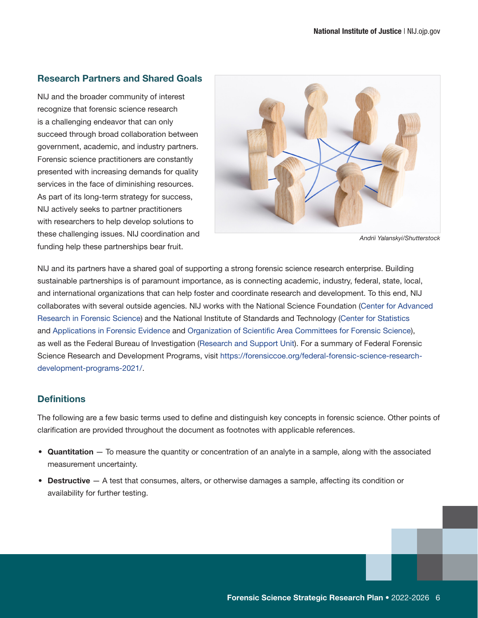#### <span id="page-11-0"></span>Research Partners and Shared Goals

NIJ and the broader community of interest recognize that forensic science research is a challenging endeavor that can only succeed through broad collaboration between government, academic, and industry partners. Forensic science practitioners are constantly presented with increasing demands for quality services in the face of diminishing resources. As part of its long-term strategy for success, NIJ actively seeks to partner practitioners with researchers to help develop solutions to these challenging issues. NIJ coordination and funding help these partnerships bear fruit.



*Andrii Yalanskyi/Shutterstock*

NIJ and its partners have a shared goal of supporting a strong forensic science research enterprise. Building sustainable partnerships is of paramount importance, as is connecting academic, industry, federal, state, local, and international organizations that can help foster and coordinate research and development. To this end, NIJ collaborates with several outside agencies. NIJ works with the National Science Foundation [\(Center for Advanced](https://iucrc.nsf.gov/centers/center-for-advanced-research-in-forensic-science/)  [Research in Forensic Science](https://iucrc.nsf.gov/centers/center-for-advanced-research-in-forensic-science/)) and the National Institute of Standards and Technology [\(Center for Statistics](https://forensicstats.org/) and [Applications in Forensic Evidence](https://forensicstats.org/) and [Organization of Scientific Area Committees for Forensic Science](https://www.nist.gov/osac/osac-organizational-structure)), as well as the Federal Bureau of Investigation ([Research and Support Unit](https://www.fbi.gov/services/laboratory/scientific-analysis/research-and-support)). For a summary of Federal Forensic Science Research and Development Programs, visit [https://forensiccoe.org/federal-forensic-science-research](https://forensiccoe.org/federal-forensic-science-research-development-programs-2021/)[development-programs-2021/](https://forensiccoe.org/federal-forensic-science-research-development-programs-2021/).

### **Definitions**

The following are a few basic terms used to define and distinguish key concepts in forensic science. Other points of clarification are provided throughout the document as footnotes with applicable references.

- Quantitation To measure the quantity or concentration of an analyte in a sample, along with the associated measurement uncertainty.
- Destructive A test that consumes, alters, or otherwise damages a sample, affecting its condition or availability for further testing.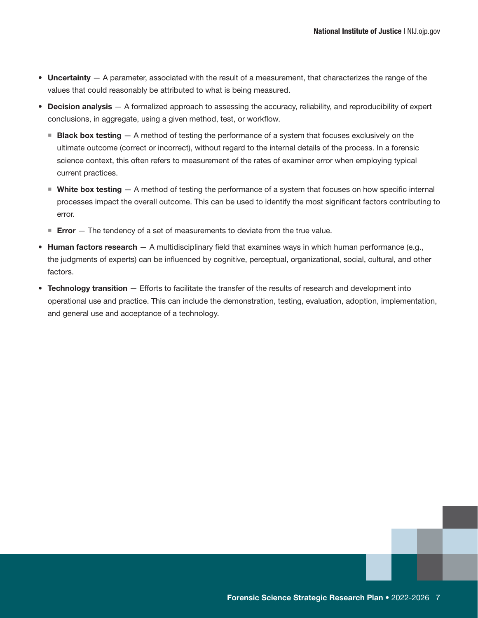- Uncertainty A parameter, associated with the result of a measurement, that characterizes the range of the values that could reasonably be attributed to what is being measured.
- Decision analysis  $-$  A formalized approach to assessing the accuracy, reliability, and reproducibility of expert conclusions, in aggregate, using a given method, test, or workflow.
	- **Black box testing**  $A$  method of testing the performance of a system that focuses exclusively on the ultimate outcome (correct or incorrect), without regard to the internal details of the process. In a forensic science context, this often refers to measurement of the rates of examiner error when employing typical current practices.
	- $\blacksquare$  White box testing  $-$  A method of testing the performance of a system that focuses on how specific internal processes impact the overall outcome. This can be used to identify the most significant factors contributing to error.
	- **Error**  $-$  The tendency of a set of measurements to deviate from the true value.
- Human factors research  $-$  A multidisciplinary field that examines ways in which human performance (e.g., the judgments of experts) can be influenced by cognitive, perceptual, organizational, social, cultural, and other factors.
- Technology transition  $-$  Efforts to facilitate the transfer of the results of research and development into operational use and practice. This can include the demonstration, testing, evaluation, adoption, implementation, and general use and acceptance of a technology.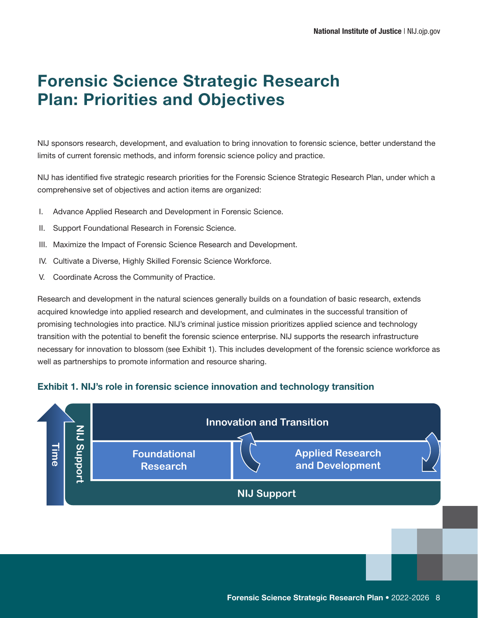# <span id="page-13-0"></span>Forensic Science Strategic Research Plan: Priorities and Objectives

NIJ sponsors research, development, and evaluation to bring innovation to forensic science, better understand the limits of current forensic methods, and inform forensic science policy and practice.

NIJ has identified five strategic research priorities for the Forensic Science Strategic Research Plan, under which a comprehensive set of objectives and action items are organized:

- I. Advance Applied Research and Development in Forensic Science.
- II. Support Foundational Research in Forensic Science.
- III. Maximize the Impact of Forensic Science Research and Development.
- IV. Cultivate a Diverse, Highly Skilled Forensic Science Workforce.
- V. Coordinate Across the Community of Practice.

Research and development in the natural sciences generally builds on a foundation of basic research, extends acquired knowledge into applied research and development, and culminates in the successful transition of promising technologies into practice. NIJ's criminal justice mission prioritizes applied science and technology transition with the potential to benefit the forensic science enterprise. NIJ supports the research infrastructure necessary for innovation to blossom (see Exhibit 1). This includes development of the forensic science workforce as well as partnerships to promote information and resource sharing.

### Exhibit 1. NIJ's role in forensic science innovation and technology transition

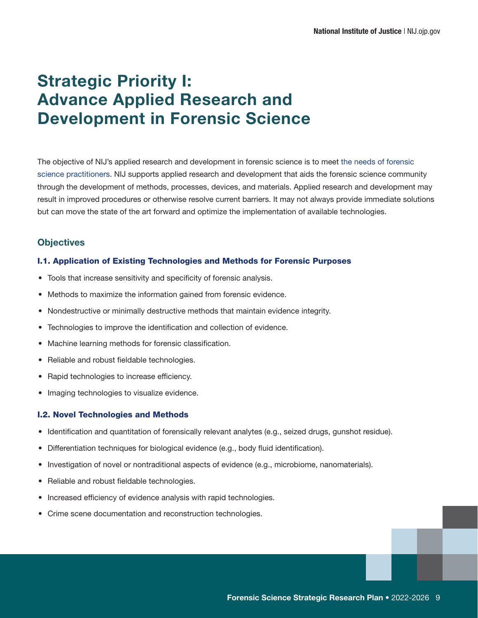# <span id="page-14-0"></span>Strategic Priority I: Advance Applied Research and Development in Forensic Science

The objective of NIJ's applied research and development in forensic science is to meet [the needs of forensic](https://forensiccoe.org/federal-forensic-science-research-development-programs-2021/)  [science practitioners.](https://forensiccoe.org/federal-forensic-science-research-development-programs-2021/) NIJ supports applied research and development that aids the forensic science community through the development of methods, processes, devices, and materials. Applied research and development may result in improved procedures or otherwise resolve current barriers. It may not always provide immediate solutions but can move the state of the art forward and optimize the implementation of available technologies.

### **Objectives**

#### I.1. Application of Existing Technologies and Methods for Forensic Purposes

- Tools that increase sensitivity and specificity of forensic analysis.
- Methods to maximize the information gained from forensic evidence.
- Nondestructive or minimally destructive methods that maintain evidence integrity.
- Technologies to improve the identification and collection of evidence.
- Machine learning methods for forensic classification.
- Reliable and robust fieldable technologies.
- Rapid technologies to increase efficiency.
- Imaging technologies to visualize evidence.

#### I.2. Novel Technologies and Methods

- Identification and quantitation of forensically relevant analytes (e.g., seized drugs, gunshot residue).
- Differentiation techniques for biological evidence (e.g., body fluid identification).
- Investigation of novel or nontraditional aspects of evidence (e.g., microbiome, nanomaterials).
- Reliable and robust fieldable technologies.
- Increased efficiency of evidence analysis with rapid technologies.
- Crime scene documentation and reconstruction technologies.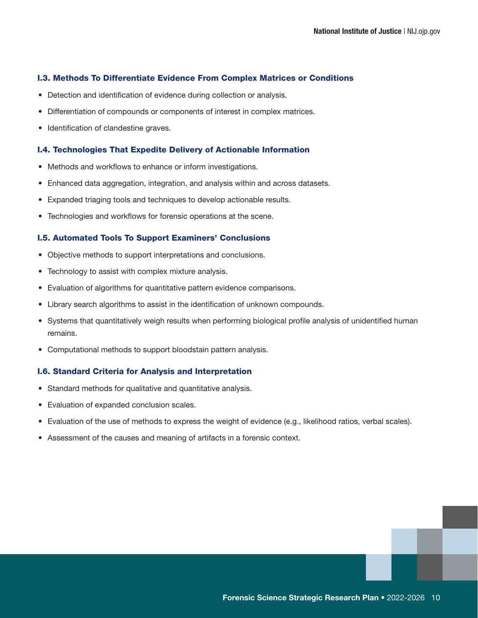#### <span id="page-15-0"></span>I.3. Methods To Differentiate Evidence From Complex Matrices or Conditions

- Detection and identification of evidence during collection or analysis.
- Differentiation of compounds or components of interest in complex matrices.
- Identification of clandestine graves.

#### I.4. Technologies That Expedite Delivery of Actionable Information

- Methods and workflows to enhance or inform investigations.
- Enhanced data aggregation, integration, and analysis within and across datasets.
- Expanded triaging tools and techniques to develop actionable results.
- Technologies and workflows for forensic operations at the scene.

#### I.5. Automated Tools To Support Examiners' Conclusions

- Objective methods to support interpretations and conclusions.
- Technology to assist with complex mixture analysis.
- Evaluation of algorithms for quantitative pattern evidence comparisons.
- Library search algorithms to assist in the identification of unknown compounds.
- Systems that quantitatively weigh results when performing biological profile analysis of unidentified human remains.
- Computational methods to support bloodstain pattern analysis.

#### I.6. Standard Criteria for Analysis and Interpretation

- Standard methods for qualitative and quantitative analysis.
- Evaluation of expanded conclusion scales.
- Evaluation of the use of methods to express the weight of evidence (e.g., likelihood ratios, verbal scales).
- Assessment of the causes and meaning of artifacts in a forensic context.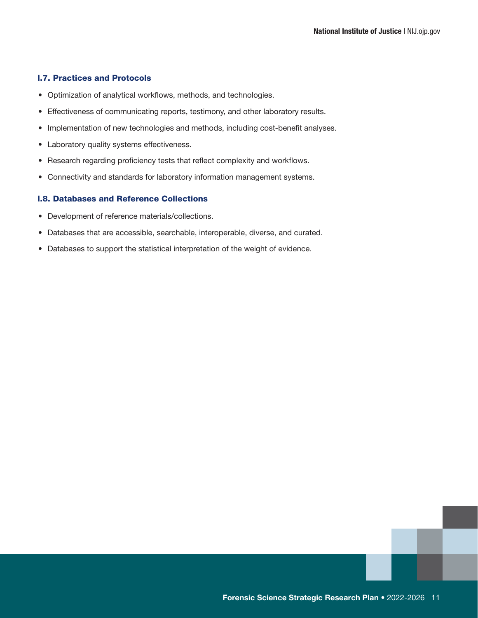#### <span id="page-16-0"></span>I.7. Practices and Protocols

- Optimization of analytical workflows, methods, and technologies.
- Effectiveness of communicating reports, testimony, and other laboratory results.
- Implementation of new technologies and methods, including cost-benefit analyses.
- Laboratory quality systems effectiveness.
- Research regarding proficiency tests that reflect complexity and workflows.
- Connectivity and standards for laboratory information management systems.

#### I.8. Databases and Reference Collections

- Development of reference materials/collections.
- Databases that are accessible, searchable, interoperable, diverse, and curated.
- Databases to support the statistical interpretation of the weight of evidence.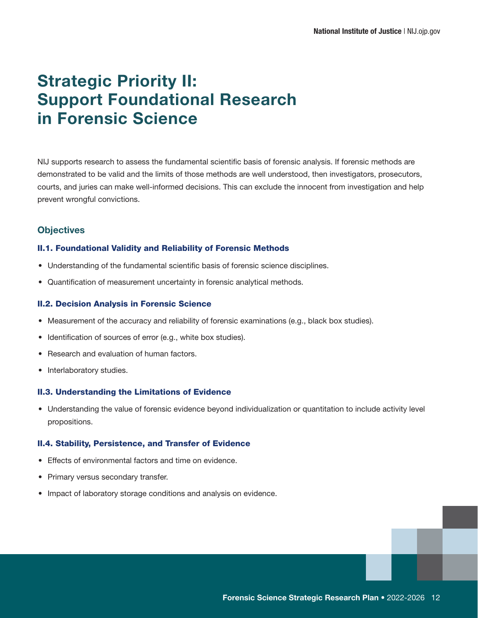# <span id="page-17-0"></span>Strategic Priority II: Support Foundational Research in Forensic Science

NIJ supports research to assess the fundamental scientific basis of forensic analysis. If forensic methods are demonstrated to be valid and the limits of those methods are well understood, then investigators, prosecutors, courts, and juries can make well-informed decisions. This can exclude the innocent from investigation and help prevent wrongful convictions.

### **Objectives**

#### II.1. Foundational Validity and Reliability of Forensic Methods

- Understanding of the fundamental scientific basis of forensic science disciplines.
- Quantification of measurement uncertainty in forensic analytical methods.

#### II.2. Decision Analysis in Forensic Science

- Measurement of the accuracy and reliability of forensic examinations (e.g., black box studies).
- Identification of sources of error (e.g., white box studies).
- Research and evaluation of human factors.
- Interlaboratory studies.

#### II.3. Understanding the Limitations of Evidence

• Understanding the value of forensic evidence beyond individualization or quantitation to include activity level propositions.

#### II.4. Stability, Persistence, and Transfer of Evidence

- Effects of environmental factors and time on evidence.
- Primary versus secondary transfer.
- Impact of laboratory storage conditions and analysis on evidence.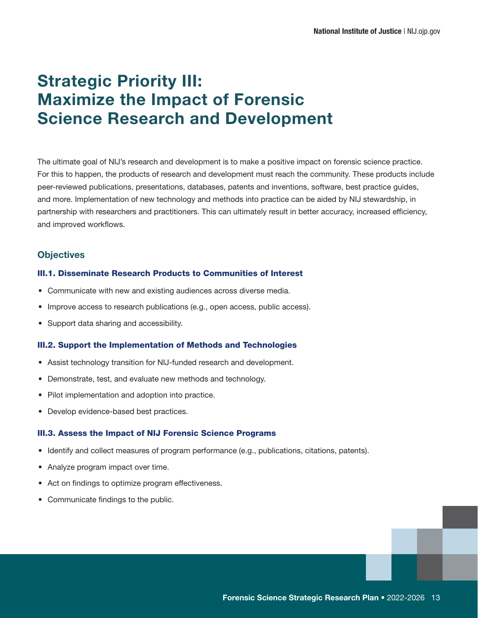# <span id="page-18-0"></span>Strategic Priority III: Maximize the Impact of Forensic Science Research and Development

The ultimate goal of NIJ's research and development is to make a positive impact on forensic science practice. For this to happen, the products of research and development must reach the community. These products include peer-reviewed publications, presentations, databases, patents and inventions, software, best practice guides, and more. Implementation of new technology and methods into practice can be aided by NIJ stewardship, in partnership with researchers and practitioners. This can ultimately result in better accuracy, increased efficiency, and improved workflows.

### **Objectives**

#### III.1. Disseminate Research Products to Communities of Interest

- Communicate with new and existing audiences across diverse media.
- Improve access to research publications (e.g., open access, public access).
- Support data sharing and accessibility.

#### III.2. Support the Implementation of Methods and Technologies

- Assist technology transition for NIJ-funded research and development.
- Demonstrate, test, and evaluate new methods and technology.
- Pilot implementation and adoption into practice.
- Develop evidence-based best practices.

#### III.3. Assess the Impact of NIJ Forensic Science Programs

- Identify and collect measures of program performance (e.g., publications, citations, patents).
- Analyze program impact over time.
- Act on findings to optimize program effectiveness.
- Communicate findings to the public.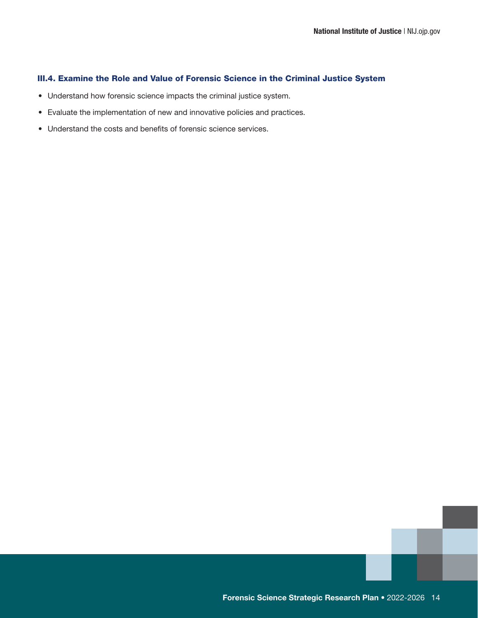#### <span id="page-19-0"></span>III.4. Examine the Role and Value of Forensic Science in the Criminal Justice System

- Understand how forensic science impacts the criminal justice system.
- Evaluate the implementation of new and innovative policies and practices.
- Understand the costs and benefits of forensic science services.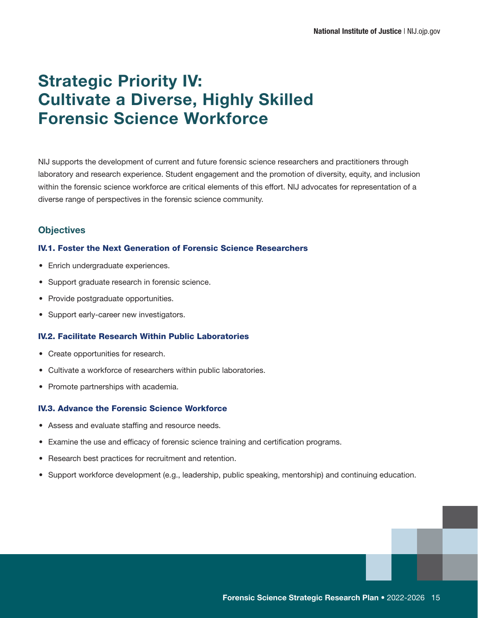# <span id="page-20-0"></span>Strategic Priority IV: Cultivate a Diverse, Highly Skilled Forensic Science Workforce

NIJ supports the development of current and future forensic science researchers and practitioners through laboratory and research experience. Student engagement and the promotion of diversity, equity, and inclusion within the forensic science workforce are critical elements of this effort. NIJ advocates for representation of a diverse range of perspectives in the forensic science community.

### **Objectives**

#### IV.1. Foster the Next Generation of Forensic Science Researchers

- Enrich undergraduate experiences.
- Support graduate research in forensic science.
- Provide postgraduate opportunities.
- Support early-career new investigators.

#### IV.2. Facilitate Research Within Public Laboratories

- Create opportunities for research.
- Cultivate a workforce of researchers within public laboratories.
- Promote partnerships with academia.

#### IV.3. Advance the Forensic Science Workforce

- Assess and evaluate staffing and resource needs.
- Examine the use and efficacy of forensic science training and certification programs.
- Research best practices for recruitment and retention.
- Support workforce development (e.g., leadership, public speaking, mentorship) and continuing education.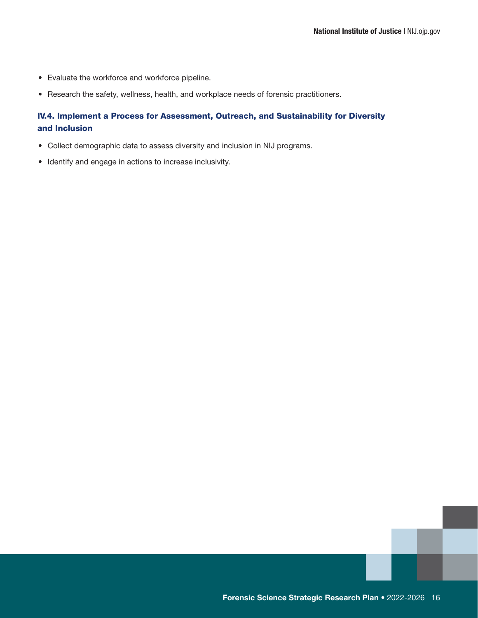- <span id="page-21-0"></span>• Evaluate the workforce and workforce pipeline.
- Research the safety, wellness, health, and workplace needs of forensic practitioners.

### IV.4. Implement a Process for Assessment, Outreach, and Sustainability for Diversity and Inclusion

- Collect demographic data to assess diversity and inclusion in NIJ programs.
- Identify and engage in actions to increase inclusivity.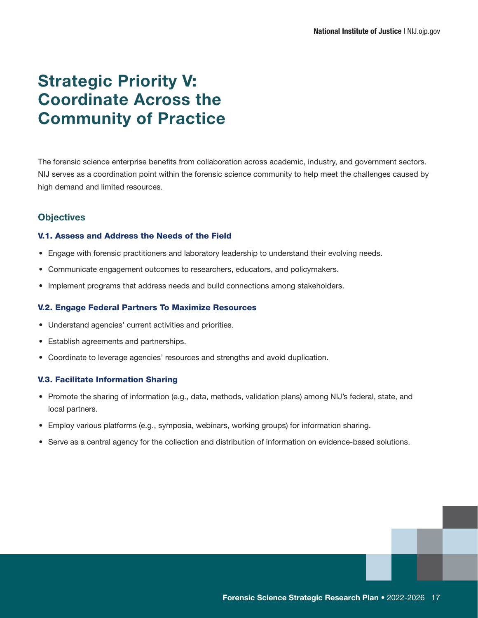# <span id="page-22-0"></span>Strategic Priority V: Coordinate Across the Community of Practice

The forensic science enterprise benefits from collaboration across academic, industry, and government sectors. NIJ serves as a coordination point within the forensic science community to help meet the challenges caused by high demand and limited resources.

### **Objectives**

#### V.1. Assess and Address the Needs of the Field

- Engage with forensic practitioners and laboratory leadership to understand their evolving needs.
- Communicate engagement outcomes to researchers, educators, and policymakers.
- Implement programs that address needs and build connections among stakeholders.

#### V.2. Engage Federal Partners To Maximize Resources

- Understand agencies' current activities and priorities.
- Establish agreements and partnerships.
- Coordinate to leverage agencies' resources and strengths and avoid duplication.

#### V.3. Facilitate Information Sharing

- Promote the sharing of information (e.g., data, methods, validation plans) among NIJ's federal, state, and local partners.
- Employ various platforms (e.g., symposia, webinars, working groups) for information sharing.
- Serve as a central agency for the collection and distribution of information on evidence-based solutions.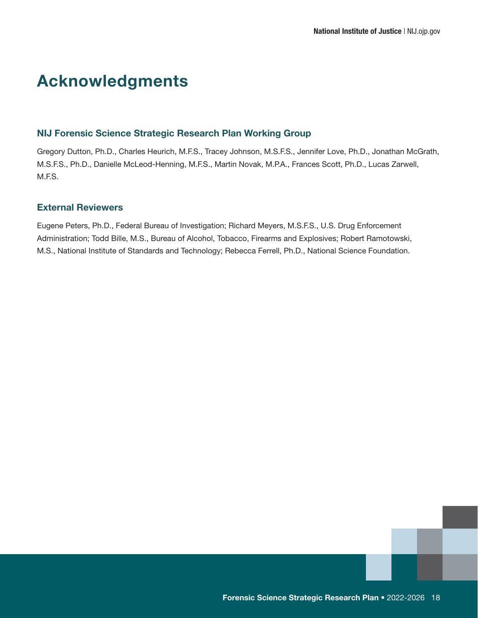# <span id="page-23-0"></span>Acknowledgments

#### NIJ Forensic Science Strategic Research Plan Working Group

Gregory Dutton, Ph.D., Charles Heurich, M.F.S., Tracey Johnson, M.S.F.S., Jennifer Love, Ph.D., Jonathan McGrath, M.S.F.S., Ph.D., Danielle McLeod-Henning, M.F.S., Martin Novak, M.P.A., Frances Scott, Ph.D., Lucas Zarwell, M.F.S.

### External Reviewers

Eugene Peters, Ph.D., Federal Bureau of Investigation; Richard Meyers, M.S.F.S., U.S. Drug Enforcement Administration; Todd Bille, M.S., Bureau of Alcohol, Tobacco, Firearms and Explosives; Robert Ramotowski, M.S., National Institute of Standards and Technology; Rebecca Ferrell, Ph.D., National Science Foundation.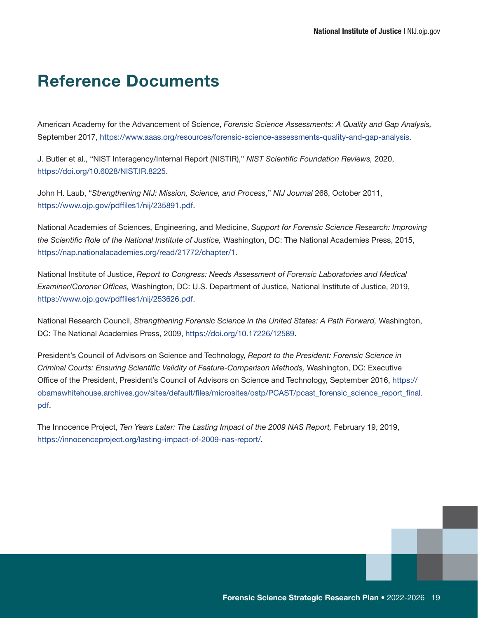### <span id="page-24-0"></span>Reference Documents

American Academy for the Advancement of Science, *Forensic Science Assessments: A Quality and Gap Analysis,* September 2017,<https://www.aaas.org/resources/forensic-science-assessments-quality-and-gap-analysis>.

J. Butler et al., "NIST Interagency/Internal Report (NISTIR)," *NIST Scientific Foundation Reviews,* 2020, <https://doi.org/10.6028/NIST.IR.8225>.

John H. Laub, "*Strengthening NIJ: Mission, Science, and Process*," *NIJ Journal* 268, October 2011, <https://www.ojp.gov/pdffiles1/nij/235891.pdf>.

National Academies of Sciences, Engineering, and Medicine, *Support for Forensic Science Research: Improving the Scientific Role of the National Institute of Justice,* Washington, DC: The National Academies Press, 2015, <https://nap.nationalacademies.org/read/21772/chapter/1>.

National Institute of Justice, *Report to Congress: Needs Assessment of Forensic Laboratories and Medical Examiner/Coroner Offices,* Washington, DC: U.S. Department of Justice, National Institute of Justice, 2019, https://www.ojp.gov/pdffiles1/nij/253626.pdf.

National Research Council, *Strengthening Forensic Science in the United States: A Path Forward,* Washington, DC: The National Academies Press, 2009, https://doi.org/10.17226/12589.

President's Council of Advisors on Science and Technology, *Report to the President: Forensic Science in Criminal Courts: Ensuring Scientific Validity of Feature-Comparison Methods,* Washington, DC: Executive Office of the President, President's Council of Advisors on Science and Technology, September 2016, [https://](https://obamawhitehouse.archives.gov/sites/default/files/microsites/ostp/PCAST/pcast_forensic_science_report_final.pdf) [obamawhitehouse.archives.gov/sites/default/files/microsites/ostp/PCAST/pcast\\_forensic\\_science\\_report\\_final.](https://obamawhitehouse.archives.gov/sites/default/files/microsites/ostp/PCAST/pcast_forensic_science_report_final.pdf) [pdf.](https://obamawhitehouse.archives.gov/sites/default/files/microsites/ostp/PCAST/pcast_forensic_science_report_final.pdf)

The Innocence Project, *Ten Years Later: The Lasting Impact of the 2009 NAS Report,* February 19, 2019, https://innocenceproject.org/lasting-impact-of-2009-nas-report/.